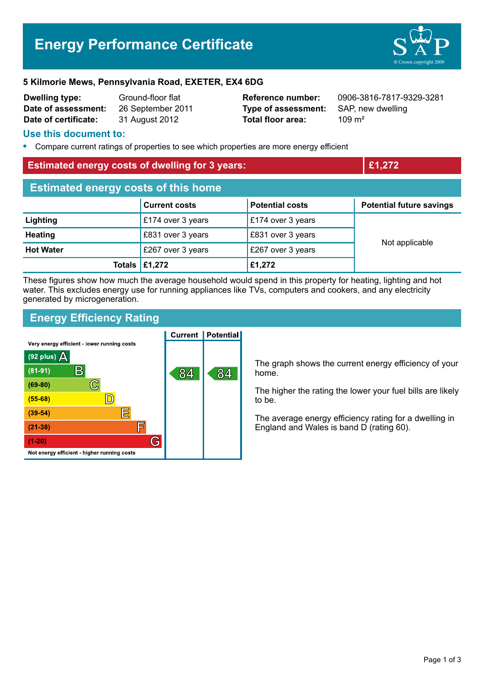# **Energy Performance Certificate**



#### **5 Kilmorie Mews, Pennsylvania Road, EXETER, EX4 6DG**

| <b>Dwelling type:</b> | Ground-floor flat |
|-----------------------|-------------------|
| Date of assessment:   | 26 September 201  |
| Date of certificate:  | 31 August 2012    |

1 **Data Company 2012 Type of assessment:** SAP, new dwelling **Total floor area:** 3109 m<sup>2</sup>

**Reference number:** 0906-3816-7817-9329-3281

#### **Use this document to:**

**•** Compare current ratings of properties to see which properties are more energy efficient

#### **Estimated energy costs of dwelling for 3 years: £1,272**

| <b>Estimated energy costs of this home</b> |                                      |                        |                                 |  |  |
|--------------------------------------------|--------------------------------------|------------------------|---------------------------------|--|--|
|                                            | <b>Current costs</b>                 | <b>Potential costs</b> | <b>Potential future savings</b> |  |  |
| Lighting                                   | £174 over 3 years                    | £174 over 3 years      |                                 |  |  |
| <b>Heating</b>                             | £831 over 3 years                    | £831 over 3 years      | Not applicable                  |  |  |
| <b>Hot Water</b>                           | £267 over 3 years                    | £267 over 3 years      |                                 |  |  |
|                                            | Totals $\left  \pounds1,272 \right $ | £1,272                 |                                 |  |  |

These figures show how much the average household would spend in this property for heating, lighting and hot water. This excludes energy use for running appliances like TVs, computers and cookers, and any electricity generated by microgeneration.

# **Energy Efficiency Rating**

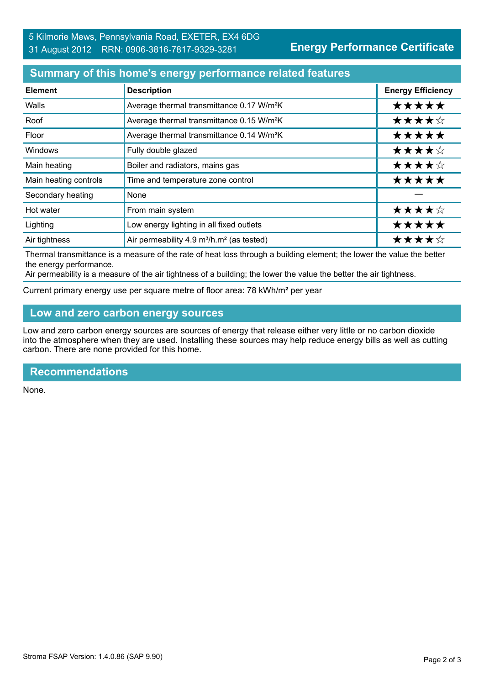### **Summary of this home's energy performance related features**

| <b>Element</b>        | <b>Description</b>                                                | <b>Energy Efficiency</b> |
|-----------------------|-------------------------------------------------------------------|--------------------------|
| Walls                 | Average thermal transmittance 0.17 W/m <sup>2</sup> K             | *****                    |
| Roof                  | Average thermal transmittance 0.15 W/m <sup>2</sup> K             | ★★★★☆                    |
| Floor                 | Average thermal transmittance 0.14 W/m <sup>2</sup> K             | *****                    |
| Windows               | Fully double glazed                                               | ★★★★☆                    |
| Main heating          | Boiler and radiators, mains gas                                   | ★★★★☆                    |
| Main heating controls | Time and temperature zone control                                 | *****                    |
| Secondary heating     | None                                                              |                          |
| Hot water             | From main system                                                  | ★★★★☆                    |
| Lighting              | Low energy lighting in all fixed outlets                          | *****                    |
| Air tightness         | Air permeability 4.9 m <sup>3</sup> /h.m <sup>2</sup> (as tested) | ★★★★☆                    |

Thermal transmittance is a measure of the rate of heat loss through a building element; the lower the value the better the energy performance.

Air permeability is a measure of the air tightness of a building; the lower the value the better the air tightness.

Current primary energy use per square metre of floor area: 78 kWh/m² per year

### **Low and zero carbon energy sources**

Low and zero carbon energy sources are sources of energy that release either very little or no carbon dioxide into the atmosphere when they are used. Installing these sources may help reduce energy bills as well as cutting carbon. There are none provided for this home.

#### **Recommendations**

None.